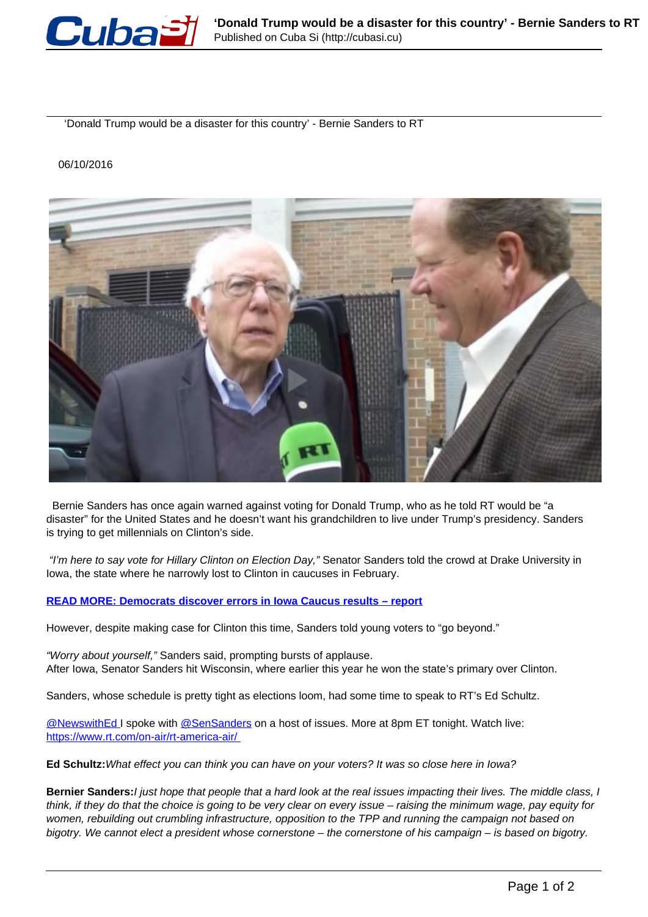

'Donald Trump would be a disaster for this country' - Bernie Sanders to RT

## 06/10/2016



 Bernie Sanders has once again warned against voting for Donald Trump, who as he told RT would be "a disaster" for the United States and he doesn't want his grandchildren to live under Trump's presidency. Sanders is trying to get millennials on Clinton's side.

"I'm here to say vote for Hillary Clinton on Election Day," Senator Sanders told the crowd at Drake University in Iowa, the state where he narrowly lost to Clinton in caucuses in February.

## **[READ MORE: Democrats discover errors in Iowa Caucus results – report](https://www.rt.com/usa/331534-democrats-errors-iowa-caucus/)**

However, despite making case for Clinton this time, Sanders told young voters to "go beyond."

"Worry about yourself," Sanders said, prompting bursts of applause. After Iowa, Senator Sanders hit Wisconsin, where earlier this year he won the state's primary over Clinton.

Sanders, whose schedule is pretty tight as elections loom, had some time to speak to RT's Ed Schultz.

@NewswithEd I spoke with @SenSanders on a host of issues. More at 8pm ET tonight. Watch live: https://www.rt.com/on-air/rt-america-air/

**Ed Schultz:**What effect you can think you can have on your voters? It was so close here in Iowa?

**Bernier Sanders:**I just hope that people that a hard look at the real issues impacting their lives. The middle class, I think, if they do that the choice is going to be very clear on every issue – raising the minimum wage, pay equity for women, rebuilding out crumbling infrastructure, opposition to the TPP and running the campaign not based on bigotry. We cannot elect a president whose cornerstone – the cornerstone of his campaign – is based on bigotry.